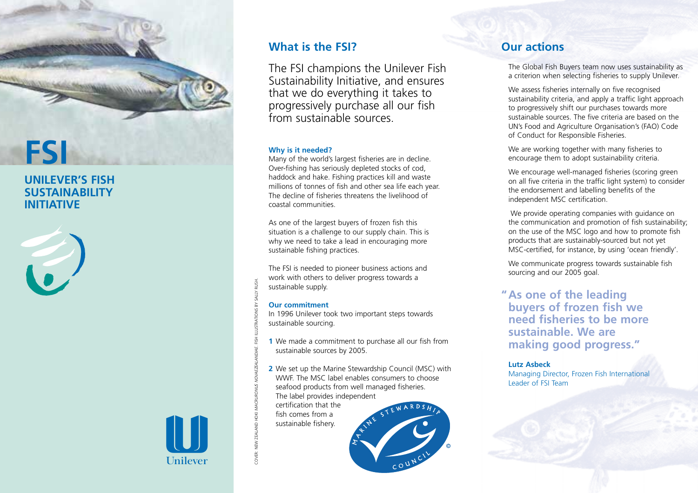

# **UNILEVER'S FISH SUSTAINABILITY INITIATIVE**



## Many of the world's largest fisheries are in decline. Over-fishing has seriously depleted stocks of cod, haddock and hake. Fishing practices kill and waste millions of tonnes of fish and other sea life each year. The decline of fisheries threatens the livelihood of coastal communities.

As one of the largest buyers of frozen fish this situation is a challenge to our supply chain. This is why we need to take a lead in encouraging more sustainable fishing practices.

The FSI champions the Unilever Fish Sustainability Initiative, and ensures that we do everything it takes to progressively purchase all our fish

The FSI is needed to pioneer business actions and work with others to deliver progress towards a sustainable supply.

#### **Our commitment**

**What is the FSI?** 

**Why is it needed?** 

from sustainable sources.

In 1996 Unilever took two important steps towards sustainable sourcing.

- **1** We made a commitment to purchase all our fish from sustainable sources by 2005.
- **2** We set up the Marine Stewardship Council (MSC) with WWF. The MSC label enables consumers to choose seafood products from well managed fisheries. The label provides independent

certification that the fish comes from a sustainable fishery.



# **Our actions**

The Global Fish Buyers team now uses sustainability as a criterion when selecting fisheries to supply Unilever.

We assess fisheries internally on five recognised sustainability criteria, and apply a traffic light approach to progressively shift our purchases towards more sustainable sources. The five criteria are based on the UN's Food and Agriculture Organisation's (FAO) Code of Conduct for Responsible Fisheries.

We are working together with many fisheries to encourage them to adopt sustainability criteria.

We encourage well-managed fisheries (scoring green on all five criteria in the traffic light system) to consider the endorsement and labelling benefits of the independent MSC certification.

We provide operating companies with guidance on the communication and promotion of fish sustainability; on the use of the MSC logo and how to promote fish products that are sustainably-sourced but not yet MSC-certified, for instance, by using 'ocean friendly'.

We communicate progress towards sustainable fish sourcing and our 2005 goal.

**" As one of the leading buyers of frozen fish we need fisheries to be more sustainable. We are making good progress."** 

#### **Lutz Asbeck**

Managing Director, Frozen Fish International Leader of FSI Team